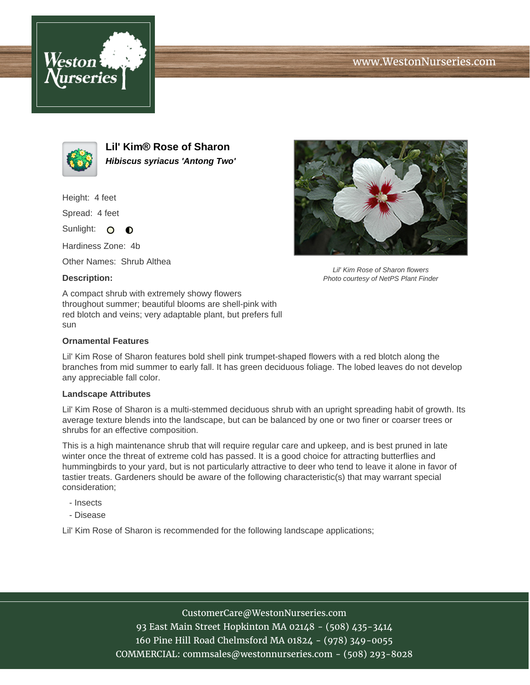





**Lil' Kim® Rose of Sharon Hibiscus syriacus 'Antong Two'**

Height: 4 feet

Spread: 4 feet

Sunlight: O  $\bullet$ 

Hardiness Zone: 4b

Other Names: Shrub Althea

### **Description:**



#### **Ornamental Features**

Lil' Kim Rose of Sharon features bold shell pink trumpet-shaped flowers with a red blotch along the branches from mid summer to early fall. It has green deciduous foliage. The lobed leaves do not develop any appreciable fall color.

#### **Landscape Attributes**

Lil' Kim Rose of Sharon is a multi-stemmed deciduous shrub with an upright spreading habit of growth. Its average texture blends into the landscape, but can be balanced by one or two finer or coarser trees or shrubs for an effective composition.

This is a high maintenance shrub that will require regular care and upkeep, and is best pruned in late winter once the threat of extreme cold has passed. It is a good choice for attracting butterflies and hummingbirds to your yard, but is not particularly attractive to deer who tend to leave it alone in favor of tastier treats. Gardeners should be aware of the following characteristic(s) that may warrant special consideration;

- Insects
- Disease

Lil' Kim Rose of Sharon is recommended for the following landscape applications;



Lil' Kim Rose of Sharon flowers Photo courtesy of NetPS Plant Finder

## CustomerCare@WestonNurseries.com

93 East Main Street Hopkinton MA 02148 - (508) 435-3414 160 Pine Hill Road Chelmsford MA 01824 - (978) 349-0055 COMMERCIAL: commsales@westonnurseries.com - (508) 293-8028